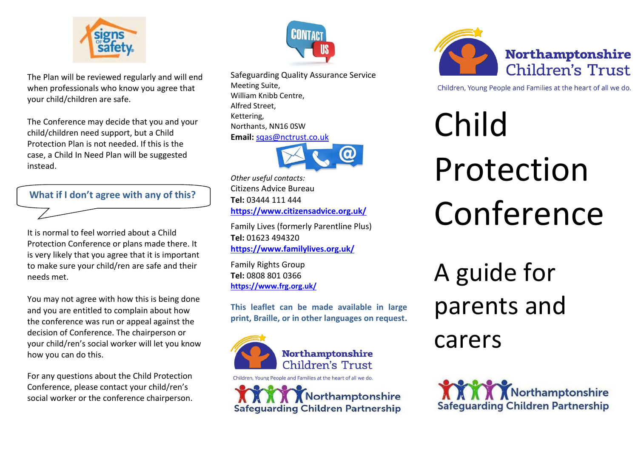

The Plan will be reviewed regularly and will end when professionals who know you agree that your child/children are safe.

The Conference may decide that you and your child/children need support, but a Child Protection Plan is not needed. If this is the case, a Child In Need Plan will be suggested instead.

**What if I don't agree with any of this?** 

It is normal to feel worried about a Child Protection Conference or plans made there. It is very likely that you agree that it is important to make sure your child/ren are safe and their needs met.

You may not agree with how this is being done and you are entitled to complain about how the conference was run or appeal against the decision of Conference. The chairperson or your child/ren's social worker will let you know how you can do this.

For any questions about the Child Protection Conference, please contact your child/ren's social worker or the conference chairperson.



Safeguarding Quality Assurance Service Meeting Suite, William Knibb Centre, Alfred Street, Kettering, Northants, NN16 0SW **Email:** [sqas@nctrust.co.uk](mailto:sqas@nctrust.co.uk)



*Other useful contacts:* Citizens Advice Bureau **Tel:** 03444 111 444 **<https://www.citizensadvice.org.uk/>**

Family Lives (formerly Parentline Plus) **Tel:** 01623 494320 **<https://www.familylives.org.uk/>**

Family Rights Group **Tel:** 0808 801 0366 **<https://www.frg.org.uk/>**

**This leaflet can be made available in large print, Braille, or in other languages on request.**



Children, Young People and Families at the heart of all we do.

Northamptonshire **Safeguarding Children Partnership** 



Children, Young People and Families at the heart of all we do.

Child Protection Conference A guide for parents and

carers